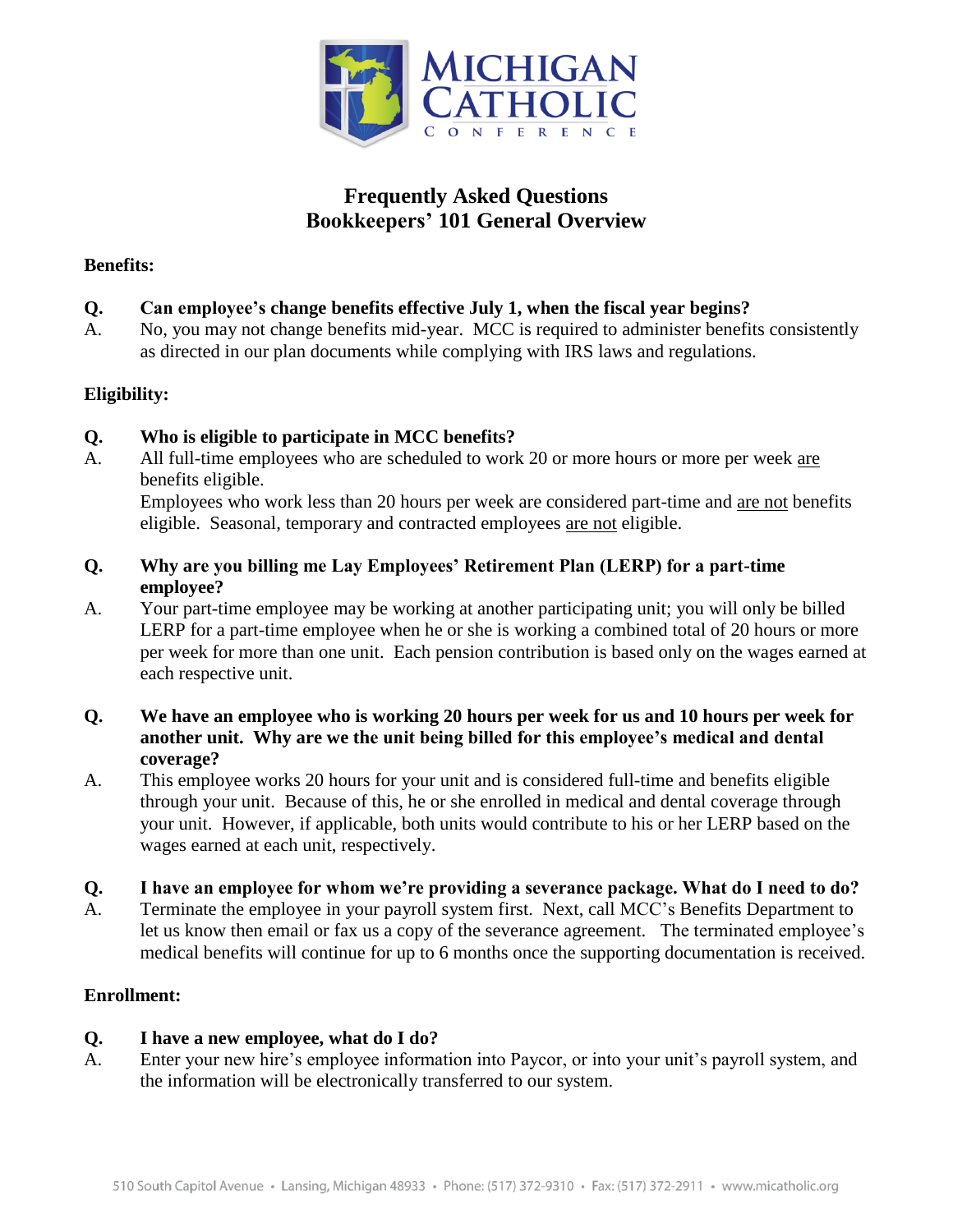

# **Frequently Asked Questions Bookkeepers' 101 General Overview**

#### **Benefits:**

- **Q. Can employee's change benefits effective July 1, when the fiscal year begins?**
- A. No, you may not change benefits mid-year. MCC is required to administer benefits consistently as directed in our plan documents while complying with IRS laws and regulations.

## **Eligibility:**

- **Q. Who is eligible to participate in MCC benefits?**
- A. All full-time employees who are scheduled to work 20 or more hours or more per week are benefits eligible.

Employees who work less than 20 hours per week are considered part-time and are not benefits eligible. Seasonal, temporary and contracted employees are not eligible.

- **Q. Why are you billing me Lay Employees' Retirement Plan (LERP) for a part-time employee?**
- A. Your part-time employee may be working at another participating unit; you will only be billed LERP for a part-time employee when he or she is working a combined total of 20 hours or more per week for more than one unit. Each pension contribution is based only on the wages earned at each respective unit.
- **Q. We have an employee who is working 20 hours per week for us and 10 hours per week for another unit. Why are we the unit being billed for this employee's medical and dental coverage?**
- A. This employee works 20 hours for your unit and is considered full-time and benefits eligible through your unit. Because of this, he or she enrolled in medical and dental coverage through your unit. However, if applicable, both units would contribute to his or her LERP based on the wages earned at each unit, respectively.
- **Q. I have an employee for whom we're providing a severance package. What do I need to do?**
- A. Terminate the employee in your payroll system first. Next, call MCC's Benefits Department to let us know then email or fax us a copy of the severance agreement. The terminated employee's medical benefits will continue for up to 6 months once the supporting documentation is received.

## **Enrollment:**

## **Q. I have a new employee, what do I do?**

A. Enter your new hire's employee information into Paycor, or into your unit's payroll system, and the information will be electronically transferred to our system.